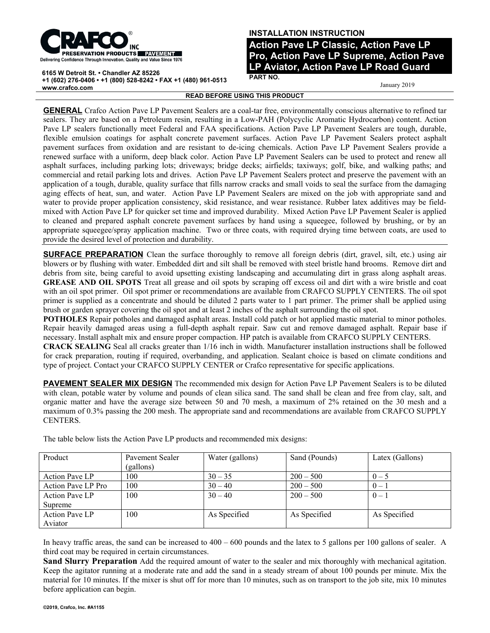

**6165 W Detroit St. • Chandler AZ 85226**

**+1 (602) 276-0406 • +1 (800) 528-8242 • FAX +1 (480) 961-0513 www.crafco.com**

## **INSTALLATION INSTRUCTION**

**Action Pave LP Classic, Action Pave LP Pro, Action Pave LP Supreme, Action Pave LP Aviator, Action Pave LP Road Guard PART NO.**

January 2019

**READ BEFORE USING THIS PRODUCT**

**GENERAL** Crafco Action Pave LP Pavement Sealers are a coal-tar free, environmentally conscious alternative to refined tar sealers. They are based on a Petroleum resin, resulting in a Low-PAH (Polycyclic Aromatic Hydrocarbon) content. Action Pave LP sealers functionally meet Federal and FAA specifications. Action Pave LP Pavement Sealers are tough, durable, flexible emulsion coatings for asphalt concrete pavement surfaces. Action Pave LP Pavement Sealers protect asphalt pavement surfaces from oxidation and are resistant to de-icing chemicals. Action Pave LP Pavement Sealers provide a renewed surface with a uniform, deep black color. Action Pave LP Pavement Sealers can be used to protect and renew all asphalt surfaces, including parking lots; driveways; bridge decks; airfields; taxiways; golf, bike, and walking paths; and commercial and retail parking lots and drives. Action Pave LP Pavement Sealers protect and preserve the pavement with an application of a tough, durable, quality surface that fills narrow cracks and small voids to seal the surface from the damaging aging effects of heat, sun, and water. Action Pave LP Pavement Sealers are mixed on the job with appropriate sand and water to provide proper application consistency, skid resistance, and wear resistance. Rubber latex additives may be fieldmixed with Action Pave LP for quicker set time and improved durability. Mixed Action Pave LP Pavement Sealer is applied to cleaned and prepared asphalt concrete pavement surfaces by hand using a squeegee, followed by brushing, or by an appropriate squeegee/spray application machine. Two or three coats, with required drying time between coats, are used to provide the desired level of protection and durability.

**SURFACE PREPARATION** Clean the surface thoroughly to remove all foreign debris (dirt, gravel, silt, etc.) using air blowers or by flushing with water. Embedded dirt and silt shall be removed with steel bristle hand brooms. Remove dirt and debris from site, being careful to avoid upsetting existing landscaping and accumulating dirt in grass along asphalt areas. **GREASE AND OIL SPOTS** Treat all grease and oil spots by scraping off excess oil and dirt with a wire bristle and coat with an oil spot primer. Oil spot primer or recommendations are available from CRAFCO SUPPLY CENTERS. The oil spot primer is supplied as a concentrate and should be diluted 2 parts water to 1 part primer. The primer shall be applied using brush or garden sprayer covering the oil spot and at least 2 inches of the asphalt surrounding the oil spot.

**POTHOLES** Repair potholes and damaged asphalt areas. Install cold patch or hot applied mastic material to minor potholes. Repair heavily damaged areas using a full-depth asphalt repair. Saw cut and remove damaged asphalt. Repair base if necessary. Install asphalt mix and ensure proper compaction. HP patch is available from CRAFCO SUPPLY CENTERS.

**CRACK SEALING** Seal all cracks greater than 1/16 inch in width. Manufacturer installation instructions shall be followed for crack preparation, routing if required, overbanding, and application. Sealant choice is based on climate conditions and type of project. Contact your CRAFCO SUPPLY CENTER or Crafco representative for specific applications.

**PAVEMENT SEALER MIX DESIGN** The recommended mix design for Action Pave LP Pavement Sealers is to be diluted with clean, potable water by volume and pounds of clean silica sand. The sand shall be clean and free from clay, salt, and organic matter and have the average size between 50 and 70 mesh, a maximum of 2% retained on the 30 mesh and a maximum of 0.3% passing the 200 mesh. The appropriate sand and recommendations are available from CRAFCO SUPPLY CENTERS.

| Product            | Pavement Sealer<br>(gallons) | Water (gallons) | Sand (Pounds) | Latex (Gallons) |
|--------------------|------------------------------|-----------------|---------------|-----------------|
| Action Pave LP     | 100                          | $30 - 35$       | $200 - 500$   | $0 - 5$         |
| Action Pave LP Pro | 100                          | $30 - 40$       | $200 - 500$   | $0 - 1$         |
| Action Pave LP     | 100                          | $30 - 40$       | $200 - 500$   | $0 - 1$         |
| Supreme            |                              |                 |               |                 |
| Action Pave LP     | 100                          | As Specified    | As Specified  | As Specified    |
| Aviator            |                              |                 |               |                 |

The table below lists the Action Pave LP products and recommended mix designs:

In heavy traffic areas, the sand can be increased to  $400 - 600$  pounds and the latex to 5 gallons per 100 gallons of sealer. A third coat may be required in certain circumstances.

**Sand Slurry Preparation** Add the required amount of water to the sealer and mix thoroughly with mechanical agitation. Keep the agitator running at a moderate rate and add the sand in a steady stream of about 100 pounds per minute. Mix the material for 10 minutes. If the mixer is shut off for more than 10 minutes, such as on transport to the job site, mix 10 minutes before application can begin.